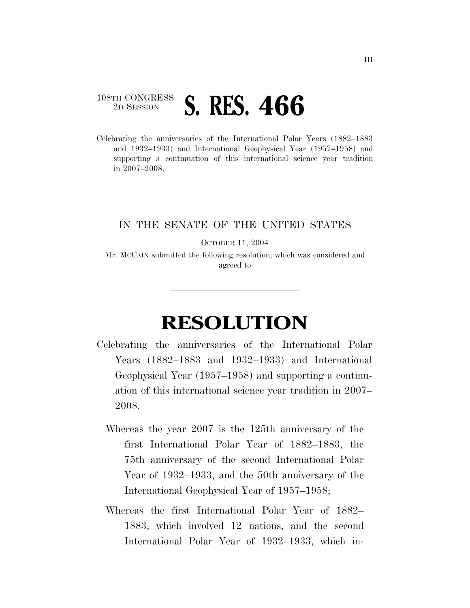## 108TH CONGRESS <sup>2D SESSION</sup> **S. RES. 466**

Celebrating the anniversaries of the International Polar Years (1882–1883 and 1932–1933) and International Geophysical Year (1957–1958) and supporting a continuation of this international science year tradition in 2007–2008.

## IN THE SENATE OF THE UNITED STATES

OCTOBER 11, 2004

Mr. MCCAIN submitted the following resolution; which was considered and agreed to

## **RESOLUTION**

- Celebrating the anniversaries of the International Polar Years (1882–1883 and 1932–1933) and International Geophysical Year (1957–1958) and supporting a continuation of this international science year tradition in 2007– 2008.
	- Whereas the year 2007 is the 125th anniversary of the first International Polar Year of 1882–1883, the 75th anniversary of the second International Polar Year of 1932–1933, and the 50th anniversary of the International Geophysical Year of 1957–1958;
	- Whereas the first International Polar Year of 1882– 1883, which involved 12 nations, and the second International Polar Year of 1932–1933, which in-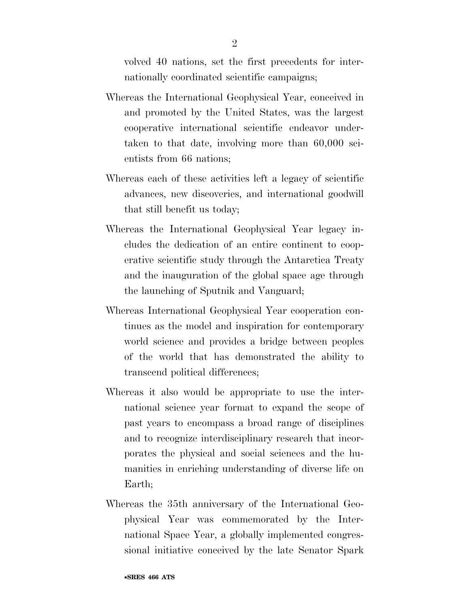volved 40 nations, set the first precedents for internationally coordinated scientific campaigns;

- Whereas the International Geophysical Year, conceived in and promoted by the United States, was the largest cooperative international scientific endeavor undertaken to that date, involving more than 60,000 scientists from 66 nations;
- Whereas each of these activities left a legacy of scientific advances, new discoveries, and international goodwill that still benefit us today;
- Whereas the International Geophysical Year legacy includes the dedication of an entire continent to cooperative scientific study through the Antarctica Treaty and the inauguration of the global space age through the launching of Sputnik and Vanguard;
- Whereas International Geophysical Year cooperation continues as the model and inspiration for contemporary world science and provides a bridge between peoples of the world that has demonstrated the ability to transcend political differences;
- Whereas it also would be appropriate to use the international science year format to expand the scope of past years to encompass a broad range of disciplines and to recognize interdisciplinary research that incorporates the physical and social sciences and the humanities in enriching understanding of diverse life on Earth;
- Whereas the 35th anniversary of the International Geophysical Year was commemorated by the International Space Year, a globally implemented congressional initiative conceived by the late Senator Spark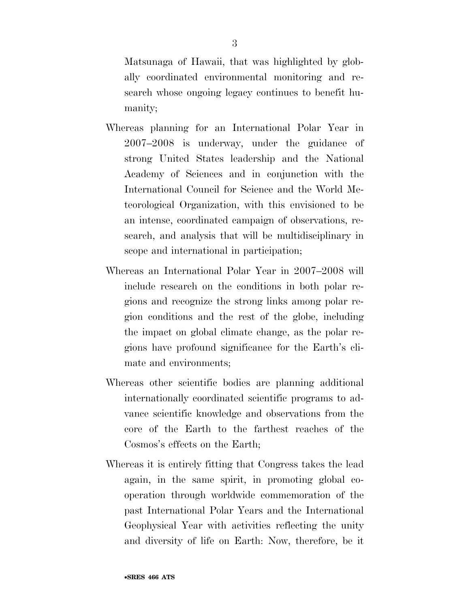Matsunaga of Hawaii, that was highlighted by globally coordinated environmental monitoring and research whose ongoing legacy continues to benefit humanity;

- Whereas planning for an International Polar Year in 2007–2008 is underway, under the guidance of strong United States leadership and the National Academy of Sciences and in conjunction with the International Council for Science and the World Meteorological Organization, with this envisioned to be an intense, coordinated campaign of observations, research, and analysis that will be multidisciplinary in scope and international in participation;
- Whereas an International Polar Year in 2007–2008 will include research on the conditions in both polar regions and recognize the strong links among polar region conditions and the rest of the globe, including the impact on global climate change, as the polar regions have profound significance for the Earth's climate and environments;
- Whereas other scientific bodies are planning additional internationally coordinated scientific programs to advance scientific knowledge and observations from the core of the Earth to the farthest reaches of the Cosmos's effects on the Earth;
- Whereas it is entirely fitting that Congress takes the lead again, in the same spirit, in promoting global cooperation through worldwide commemoration of the past International Polar Years and the International Geophysical Year with activities reflecting the unity and diversity of life on Earth: Now, therefore, be it